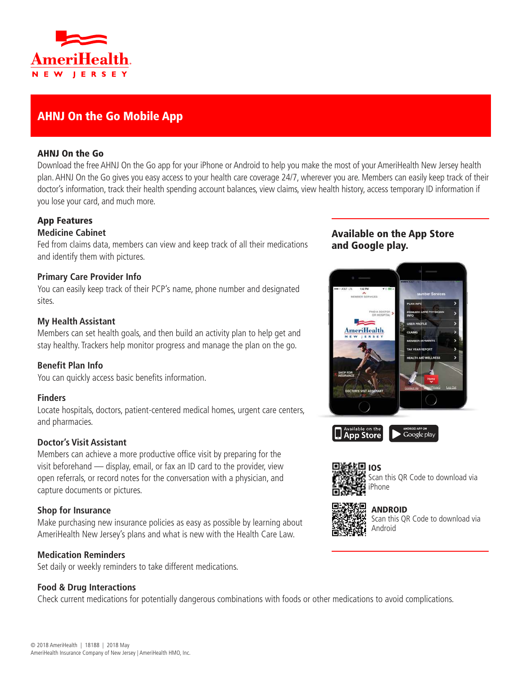

# AHNJ On the Go Mobile App

#### AHNJ On the Go

Download the free AHNJ On the Go app for your iPhone or Android to help you make the most of your AmeriHealth New Jersey health plan. AHNJ On the Go gives you easy access to your health care coverage 24/7, wherever you are. Members can easily keep track of their doctor's information, track their health spending account balances, view claims, view health history, access temporary ID information if you lose your card, and much more.

## App Features

## **Medicine Cabinet**

Fed from claims data, members can view and keep track of all their medications and identify them with pictures.

#### **Primary Care Provider Info**

You can easily keep track of their PCP's name, phone number and designated sites.

#### **My Health Assistant**

Members can set health goals, and then build an activity plan to help get and stay healthy. Trackers help monitor progress and manage the plan on the go.

#### **Benefit Plan Info**

You can quickly access basic benefits information.

#### **Finders**

Locate hospitals, doctors, patient-centered medical homes, urgent care centers, and pharmacies.

## **Doctor's Visit Assistant**

Members can achieve a more productive office visit by preparing for the visit beforehand — display, email, or fax an ID card to the provider, view open referrals, or record notes for the conversation with a physician, and capture documents or pictures.

#### **Shop for Insurance**

Make purchasing new insurance policies as easy as possible by learning about AmeriHealth New Jersey's plans and what is new with the Health Care Law.

#### **Medication Reminders**

Set daily or weekly reminders to take different medications.

#### **Food & Drug Interactions**

Check current medications for potentially dangerous combinations with foods or other medications to avoid complications.

## Available on the App Store and Google play.





Scan this QR Code to download via iPhone



ANDROID Scan this QR Code to download via Android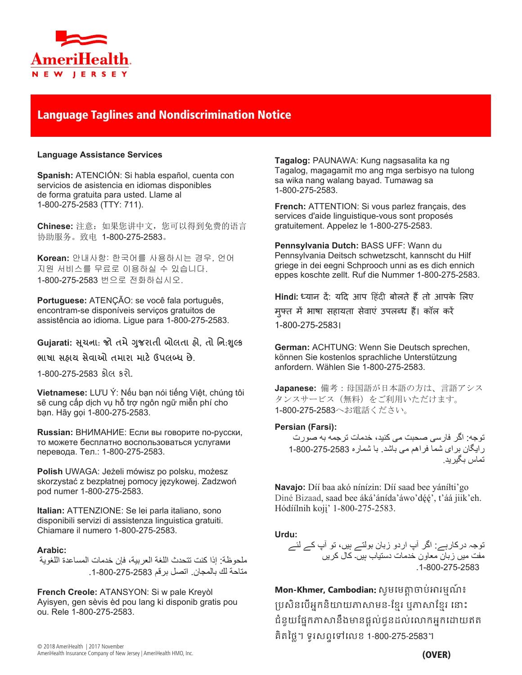

## Language Taglines and Nondiscrimination Notice

#### **Language Assistance Services**

**Spanish:** ATENCIÓN: Si habla español, cuenta con servicios de asistencia en idiomas disponibles de forma gratuita para usted. Llame al 1-800-275-2583 (TTY: 711).

**Chinese:** 注意:如果您讲中文,您可以得到免费的语言 协助服务。致电 1-800-275-2583。

**Korean:** 안내사항: 한국어를 사용하시는 경우, 언어 지원 서비스를 무료로 이용하실 수 있습니다. 1-800-275-2583 번으로 전화하십시오.

**Portuguese:** ATENÇÃO: se você fala português, encontram-se disponíveis serviços gratuitos de assistência ao idioma. Ligue para 1-800-275-2583.

#### **Gujarati: �ચના ૂ** : **જો તમે�જરાતી ુ બોલતા હો**, **તો િન**:**���ુ**

**ભાષા સહાય સેવાઓ તમારા માટ���લ�� છે**.

1-800-275-2583 કોલ કરો.

**Vietnamese:** LƯU Ý: Nếu bạn nói tiếng Việt, chúng tôi sẽ cung cấp dịch vụ hỗ trợ ngôn ngữ miễn phí cho bạn. Hãy gọi 1-800-275-2583.

**Russian:** ВНИМАНИЕ: Если вы говорите по-русски, то можете бесплатно воспользоваться услугами перевода. Тел.: 1-800-275-2583.

**Polish** UWAGA: Jeżeli mówisz po polsku, możesz skorzystać z bezpłatnej pomocy językowej. Zadzwoń pod numer 1-800-275-2583.

**Italian:** ATTENZIONE: Se lei parla italiano, sono disponibili servizi di assistenza linguistica gratuiti. Chiamare il numero 1-800-275-2583.

#### **Arabic:**

ملحوظة: إذا كنت تتحدث اللغة العربية، فإن خدمات المساعدة اللغوية متاحة لك بالمجان. اتصل برقم .1-800-275-2583

**French Creole:** ATANSYON: Si w pale Kreyòl Ayisyen, gen sèvis èd pou lang ki disponib gratis pou ou. Rele 1-800-275-2583.

**Tagalog:** PAUNAWA: Kung nagsasalita ka ng Tagalog, magagamit mo ang mga serbisyo na tulong sa wika nang walang bayad. Tumawag sa 1-800-275-2583.

**French:** ATTENTION: Si vous parlez français, des services d'aide linguistique-vous sont proposés gratuitement. Appelez le 1-800-275-2583.

**Pennsylvania Dutch:** BASS UFF: Wann du Pennsylvania Deitsch schwetzscht, kannscht du Hilf griege in dei eegni Schprooch unni as es dich ennich eppes koschte zellt. Ruf die Nummer 1-800-275-2583.

Hindi: <sup>ध्या</sup>न दें: यदि आप हिंदी बोलते हैं तो आपके लिए मुफ्त में भाषा सहायता सेवाएं उपलब्ध हैं। कॉल करें 1-800-275-2583।

**German:** ACHTUNG: Wenn Sie Deutsch sprechen, können Sie kostenlos sprachliche Unterstützung anfordern. Wählen Sie 1-800-275-2583.

**Japanese:** 備考:母国語が日本語の方は、言語アシス タンスサービス(無料)をご利用いただけます。 1-800-275-2583へお電話ください。

#### **Persian (Farsi):**

توجه: اگر فارسی صحبت می کنيد، خدمات ترجمه به صورت رايگان برای شما فراھم می باشد. با شماره 1-800-275-2583 تماس بگيريد .

**Navajo:** Díí baa akó nínízin: Díí saad bee yáníłti'go Diné Bizaad, saad bee áká'ánída'áwo'déé', t'áá jiik'eh. Hódíílnih koji' 1-800-275-2583.

**Urdu:** توجہ درکارہے: اگر آپ اردو زبان بولتے ہيں، تو آپ کے لئے مفت ميں زبان معاون خدمات دستياب ہيں۔ کال کريں .1-800-275-2583

**Mon-Khmer, Cambodian**: សូ�េ��្តចប់�រ�មណ៍ ៖ ប្រសិនបើអ្នកនិយាយភាសាមន-ខ្មែរ ឬភាសាខ្មែរ នោះ ជំនួយផ្នែកភាសានឹងមានផ្តល់ជូនដល់លោកអ្នកដោយឥត គិតៃថ្ល។ ទូរសពទេទេលខ 1-800-275-2583។